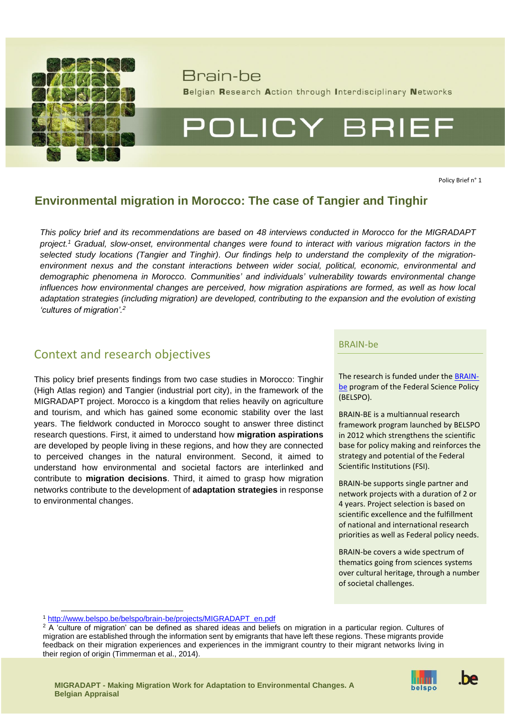

# Brain-be

Belgian Research Action through Interdisciplinary Networks

# POLICY BRIEF

Policy Brief n° 1

## **Environmental migration in Morocco: The case of Tangier and Tinghir**

*This policy brief and its recommendations are based on 48 interviews conducted in Morocco for the MIGRADAPT project. <sup>1</sup> Gradual, slow-onset, environmental changes were found to interact with various migration factors in the selected study locations (Tangier and Tinghir). Our findings help to understand the complexity of the migrationenvironment nexus and the constant interactions between wider social, political, economic, environmental and demographic phenomena in Morocco. Communities' and individuals' vulnerability towards environmental change influences how environmental changes are perceived, how migration aspirations are formed, as well as how local adaptation strategies (including migration) are developed, contributing to the expansion and the evolution of existing 'cultures of migration'. 2*

## Context and research objectives

This policy brief presents findings from two case studies in Morocco: Tinghir (High Atlas region) and Tangier (industrial port city), in the framework of the MIGRADAPT project. Morocco is a kingdom that relies heavily on agriculture and tourism, and which has gained some economic stability over the last years. The fieldwork conducted in Morocco sought to answer three distinct research questions. First, it aimed to understand how **migration aspirations**  are developed by people living in these regions, and how they are connected to perceived changes in the natural environment. Second, it aimed to understand how environmental and societal factors are interlinked and contribute to **migration decisions**. Third, it aimed to grasp how migration networks contribute to the development of **adaptation strategies** in response to environmental changes.

## BRAIN-be

The research is funded under the [BRAIN](http://www.belspo.be/brain-be/)[be](http://www.belspo.be/brain-be/) program of the Federal Science Policy (BELSPO).

BRAIN-BE is a multiannual research framework program launched by BELSPO in 2012 which strengthens the scientific base for policy making and reinforces the strategy and potential of the Federal Scientific Institutions (FSI).

BRAIN-be supports single partner and network projects with a duration of 2 or 4 years. Project selection is based on scientific excellence and the fulfillment of national and international research priorities as well as Federal policy needs.

BRAIN-be covers a wide spectrum of thematics going from sciences systems over cultural heritage, through a number of societal challenges.

<sup>1</sup> [http://www.belspo.be/belspo/brain-be/projects/MIGRADAPT\\_en.pdf](http://www.belspo.be/belspo/brain-be/projects/MIGRADAPT_en.pdf)

 $2 \overline{A}$  'culture of migration' can be defined as shared ideas and beliefs on migration in a particular region. Cultures of migration are established through the information sent by emigrants that have left these regions. These migrants provide feedback on their migration experiences and experiences in the immigrant country to their migrant networks living in their region of origin (Timmerman et al., 2014).



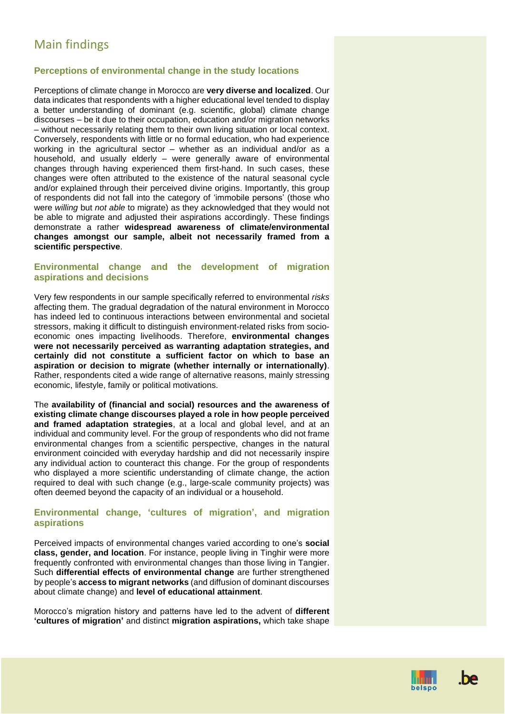## Main findings

## **Perceptions of environmental change in the study locations**

Perceptions of climate change in Morocco are **very diverse and localized**. Our data indicates that respondents with a higher educational level tended to display a better understanding of dominant (e.g. scientific, global) climate change discourses – be it due to their occupation, education and/or migration networks – without necessarily relating them to their own living situation or local context. Conversely, respondents with little or no formal education, who had experience working in the agricultural sector – whether as an individual and/or as a household, and usually elderly – were generally aware of environmental changes through having experienced them first-hand. In such cases, these changes were often attributed to the existence of the natural seasonal cycle and/or explained through their perceived divine origins. Importantly, this group of respondents did not fall into the category of 'immobile persons' (those who were *willing* but *not able* to migrate) as they acknowledged that they would not be able to migrate and adjusted their aspirations accordingly. These findings demonstrate a rather **widespread awareness of climate/environmental changes amongst our sample, albeit not necessarily framed from a scientific perspective**.

## **Environmental change and the development of migration aspirations and decisions**

Very few respondents in our sample specifically referred to environmental *risks* affecting them. The gradual degradation of the natural environment in Morocco has indeed led to continuous interactions between environmental and societal stressors, making it difficult to distinguish environment-related risks from socioeconomic ones impacting livelihoods. Therefore, **environmental changes were not necessarily perceived as warranting adaptation strategies, and certainly did not constitute a sufficient factor on which to base an aspiration or decision to migrate (whether internally or internationally)**. Rather, respondents cited a wide range of alternative reasons, mainly stressing economic, lifestyle, family or political motivations.

The **availability of (financial and social) resources and the awareness of existing climate change discourses played a role in how people perceived and framed adaptation strategies**, at a local and global level, and at an individual and community level. For the group of respondents who did not frame environmental changes from a scientific perspective, changes in the natural environment coincided with everyday hardship and did not necessarily inspire any individual action to counteract this change. For the group of respondents who displayed a more scientific understanding of climate change, the action required to deal with such change (e.g., large-scale community projects) was often deemed beyond the capacity of an individual or a household.

## **Environmental change, 'cultures of migration', and migration aspirations**

Perceived impacts of environmental changes varied according to one's **social class, gender, and location**. For instance, people living in Tinghir were more frequently confronted with environmental changes than those living in Tangier. Such **differential effects of environmental change** are further strengthened by people's **access to migrant networks** (and diffusion of dominant discourses about climate change) and **level of educational attainment**.

Morocco's migration history and patterns have led to the advent of **different 'cultures of migration'** and distinct **migration aspirations,** which take shape



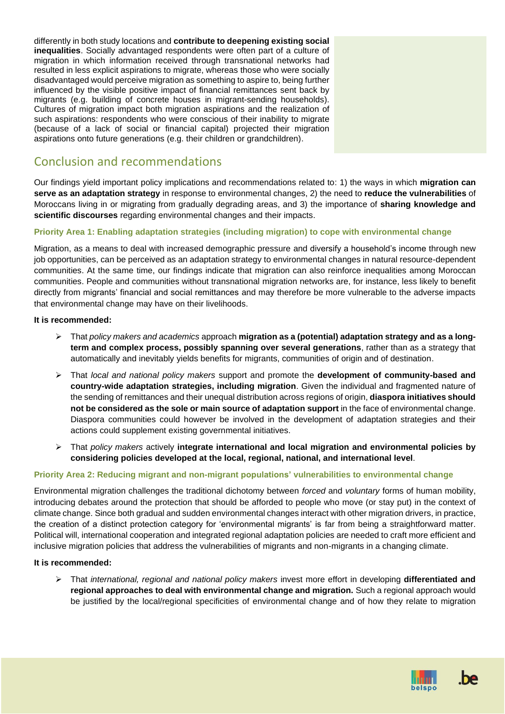differently in both study locations and **contribute to deepening existing social inequalities**. Socially advantaged respondents were often part of a culture of migration in which information received through transnational networks had resulted in less explicit aspirations to migrate, whereas those who were socially disadvantaged would perceive migration as something to aspire to, being further influenced by the visible positive impact of financial remittances sent back by migrants (e.g. building of concrete houses in migrant-sending households). Cultures of migration impact both migration aspirations and the realization of such aspirations: respondents who were conscious of their inability to migrate (because of a lack of social or financial capital) projected their migration aspirations onto future generations (e.g. their children or grandchildren).

## Conclusion and recommendations

Our findings yield important policy implications and recommendations related to: 1) the ways in which **migration can serve as an adaptation strategy** in response to environmental changes, 2) the need to **reduce the vulnerabilities** of Moroccans living in or migrating from gradually degrading areas, and 3) the importance of **sharing knowledge and scientific discourses** regarding environmental changes and their impacts.

## **Priority Area 1: Enabling adaptation strategies (including migration) to cope with environmental change**

Migration, as a means to deal with increased demographic pressure and diversify a household's income through new job opportunities, can be perceived as an adaptation strategy to environmental changes in natural resource-dependent communities. At the same time, our findings indicate that migration can also reinforce inequalities among Moroccan communities. People and communities without transnational migration networks are, for instance, less likely to benefit directly from migrants' financial and social remittances and may therefore be more vulnerable to the adverse impacts that environmental change may have on their livelihoods.

## **It is recommended:**

- ➢ That *policy makers and academics* approach **migration as a (potential) adaptation strategy and as a longterm and complex process, possibly spanning over several generations**, rather than as a strategy that automatically and inevitably yields benefits for migrants, communities of origin and of destination.
- ➢ That *local and national policy makers* support and promote the **development of community-based and country-wide adaptation strategies, including migration**. Given the individual and fragmented nature of the sending of remittances and their unequal distribution across regions of origin, **diaspora initiatives should not be considered as the sole or main source of adaptation support** in the face of environmental change. Diaspora communities could however be involved in the development of adaptation strategies and their actions could supplement existing governmental initiatives.
- ➢ That *policy makers* actively **integrate international and local migration and environmental policies by considering policies developed at the local, regional, national, and international level**.

## **Priority Area 2: Reducing migrant and non-migrant populations' vulnerabilities to environmental change**

Environmental migration challenges the traditional dichotomy between *forced* and *voluntary* forms of human mobility, introducing debates around the protection that should be afforded to people who move (or stay put) in the context of climate change. Since both gradual and sudden environmental changes interact with other migration drivers, in practice, the creation of a distinct protection category for 'environmental migrants' is far from being a straightforward matter. Political will, international cooperation and integrated regional adaptation policies are needed to craft more efficient and inclusive migration policies that address the vulnerabilities of migrants and non-migrants in a changing climate.

#### **It is recommended:**

➢ That *international, regional and national policy makers* invest more effort in developing **differentiated and regional approaches to deal with environmental change and migration.** Such a regional approach would be justified by the local/regional specificities of environmental change and of how they relate to migration